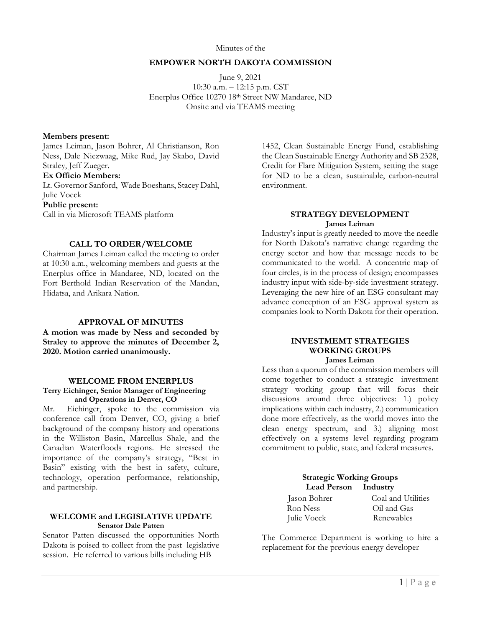### Minutes of the

#### **EMPOWER NORTH DAKOTA COMMISSION**

June 9, 2021 10:30 a.m. – 12:15 p.m. CST Enerplus Office 10270 18th Street NW Mandaree, ND Onsite and via TEAMS meeting

#### **Members present:**

James Leiman, Jason Bohrer, Al Christianson, Ron Ness, Dale Niezwaag, Mike Rud, Jay Skabo, David Straley, Jeff Zueger.

# **Ex Officio Members:**

Lt. Governor Sanford, Wade Boeshans, Stacey Dahl, Julie Voeck **Public present:**  Call in via Microsoft TEAMS platform

### **CALL TO ORDER/WELCOME**

Chairman James Leiman called the meeting to order at 10:30 a.m., welcoming members and guests at the Enerplus office in Mandaree, ND, located on the Fort Berthold Indian Reservation of the Mandan, Hidatsa, and Arikara Nation.

#### **APPROVAL OF MINUTES**

**A motion was made by Ness and seconded by Straley to approve the minutes of December 2, 2020. Motion carried unanimously.** 

#### **WELCOME FROM ENERPLUS**

#### **Terry Eichinger, Senior Manager of Engineering and Operations in Denver, CO**

Mr. Eichinger, spoke to the commission via conference call from Denver, CO, giving a brief background of the company history and operations in the Williston Basin, Marcellus Shale, and the Canadian Waterfloods regions. He stressed the importance of the company's strategy, "Best in Basin" existing with the best in safety, culture, technology, operation performance, relationship, and partnership.

### **WELCOME and LEGISLATIVE UPDATE Senator Dale Patten**

Senator Patten discussed the opportunities North Dakota is poised to collect from the past legislative session. He referred to various bills including HB

1452, Clean Sustainable Energy Fund, establishing the Clean Sustainable Energy Authority and SB 2328, Credit for Flare Mitigation System, setting the stage for ND to be a clean, sustainable, carbon-neutral environment.

### **STRATEGY DEVELOPMENT James Leiman**

Industry's input is greatly needed to move the needle for North Dakota's narrative change regarding the energy sector and how that message needs to be communicated to the world. A concentric map of four circles, is in the process of design; encompasses industry input with side-by-side investment strategy. Leveraging the new hire of an ESG consultant may advance conception of an ESG approval system as companies look to North Dakota for their operation.

### **INVESTMEMT STRATEGIES WORKING GROUPS James Leiman**

Less than a quorum of the commission members will come together to conduct a strategic investment strategy working group that will focus their discussions around three objectives: 1.) policy implications within each industry, 2.) communication done more effectively, as the world moves into the clean energy spectrum, and 3.) aligning most effectively on a systems level regarding program commitment to public, state, and federal measures.

> **Strategic Working Groups Lead Person Industry**

| Jason Bohrer |  |
|--------------|--|
| Ron Ness     |  |
| Julie Voeck  |  |

Coal and Utilities Oil and Gas Renewables

The Commerce Department is working to hire a replacement for the previous energy developer